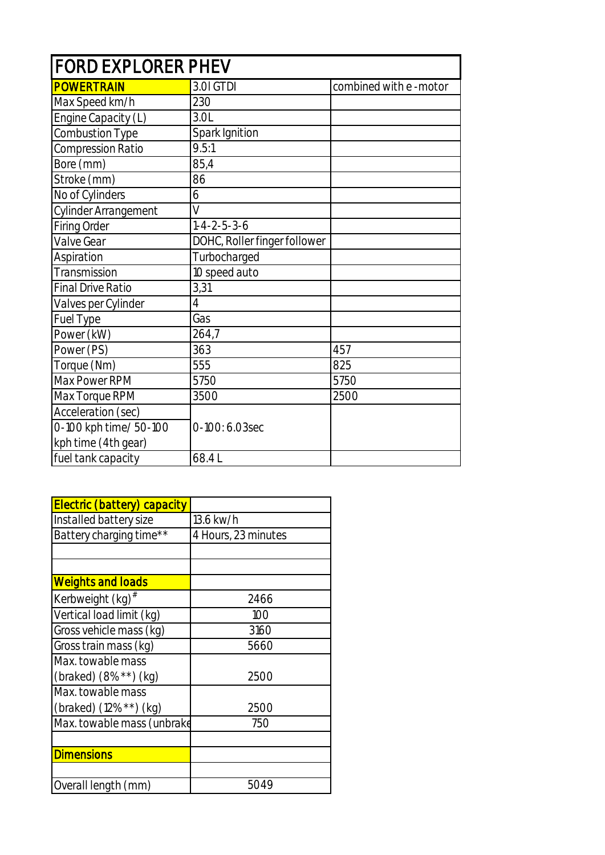| <b>FORD EXPLORER PHEV</b> |                              |                       |  |
|---------------------------|------------------------------|-----------------------|--|
| <b>POWERTRAIN</b>         | 3.0I GTDI                    | combined with e-motor |  |
| Max Speed km/h            | 230                          |                       |  |
| Engine Capacity (L)       | 3.0L                         |                       |  |
| Combustion Type           | Spark Ignition               |                       |  |
| Compression Ratio         | 9.5:1                        |                       |  |
| Bore (mm)                 | 85,4                         |                       |  |
| Stroke (mm)               | 86                           |                       |  |
| No of Cylinders           | 6                            |                       |  |
| Cylinder Arrangement      | V                            |                       |  |
| <b>Firing Order</b>       | $1 - 4 - 2 - 5 - 3 - 6$      |                       |  |
| Valve Gear                | DOHC, Roller finger follower |                       |  |
| Aspiration                | Turbocharged                 |                       |  |
| Transmission              | 10 speed auto                |                       |  |
| <b>Final Drive Ratio</b>  | 3,31                         |                       |  |
| Valves per Cylinder       | $\overline{4}$               |                       |  |
| Fuel Type                 | Gas                          |                       |  |
| Power (kW)                | 264,7                        |                       |  |
| Power (PS)                | 363                          | 457                   |  |
| Torque (Nm)               | 555                          | 825                   |  |
| Max Power RPM             | 5750                         | 5750                  |  |
| Max Torque RPM            | 3500                         | 2500                  |  |
| Acceleration (sec)        |                              |                       |  |
| 0-100 kph time/ 50-100    | 0-100: 6.03sec               |                       |  |
| kph time (4th gear)       |                              |                       |  |
| fuel tank capacity        | 68.4L                        |                       |  |

| Electric (battery) capacity  |                     |
|------------------------------|---------------------|
| Installed battery size       | 13.6 kw/h           |
| Battery charging time**      | 4 Hours, 23 minutes |
|                              |                     |
|                              |                     |
| <b>Weights and loads</b>     |                     |
| Kerbweight (kg) <sup>#</sup> | 2466                |
| Vertical load limit (kg)     | 100                 |
| Gross vehicle mass (kg)      | 3160                |
| Gross train mass (kg)        | 5660                |
| Max. towable mass            |                     |
| (braked) $(8\%^{**})$ (kg)   | 2500                |
| Max. towable mass            |                     |
| (braked) (12%**) (kg)        | 2500                |
| Max. towable mass (unbrake   | 750                 |
|                              |                     |
| <b>Dimensions</b>            |                     |
|                              |                     |
| Overall length (mm)          | 5049                |